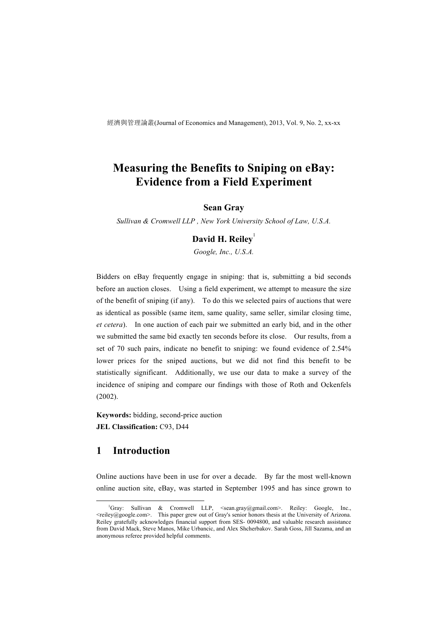經濟與管理論叢(Journal of Economics and Management), 2013, Vol. 9, No. 2, xx-xx

# **Measuring the Benefits to Sniping on eBay: Evidence from a Field Experiment**

## **Sean Gray**

*Sullivan & Cromwell LLP , New York University School of Law, U.S.A.*

## **David H. Reiley**<sup>1</sup>

*Google, Inc., U.S.A.*

Bidders on eBay frequently engage in sniping: that is, submitting a bid seconds before an auction closes. Using a field experiment, we attempt to measure the size of the benefit of sniping (if any). To do this we selected pairs of auctions that were as identical as possible (same item, same quality, same seller, similar closing time, *et cetera*). In one auction of each pair we submitted an early bid, and in the other we submitted the same bid exactly ten seconds before its close. Our results, from a set of 70 such pairs, indicate no benefit to sniping: we found evidence of 2.54% lower prices for the sniped auctions, but we did not find this benefit to be statistically significant. Additionally, we use our data to make a survey of the incidence of sniping and compare our findings with those of Roth and Ockenfels (2002).

**Keywords:** bidding, second-price auction **JEL Classification:** C93, D44

## **1 Introduction**

Online auctions have been in use for over a decade. By far the most well-known online auction site, eBay, was started in September 1995 and has since grown to

 $\overline{\phantom{a}}$ <sup>1</sup>Gray: Sullivan & Cromwell LLP, <sean.gray@gmail.com>. Reiley: Google, Inc., <reiley@google.com>. This paper grew out of Gray's senior honors thesis at the University of Arizona. Reiley gratefully acknowledges financial support from SES- 0094800, and valuable research assistance from David Mack, Steve Manos, Mike Urbancic, and Alex Shcherbakov. Sarah Goss, Jill Sazama, and an anonymous referee provided helpful comments.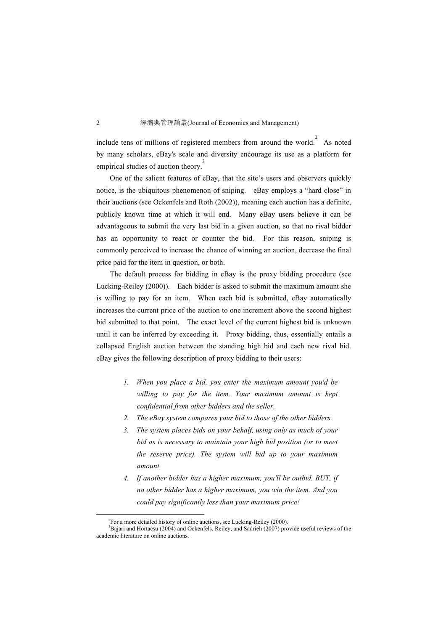include tens of millions of registered members from around the world.<sup>2</sup> As noted by many scholars, eBay's scale and diversity encourage its use as a platform for empirical studies of auction theory.<sup>3</sup>

One of the salient features of eBay, that the site's users and observers quickly notice, is the ubiquitous phenomenon of sniping. eBay employs a "hard close" in their auctions (see Ockenfels and Roth (2002)), meaning each auction has a definite, publicly known time at which it will end. Many eBay users believe it can be advantageous to submit the very last bid in a given auction, so that no rival bidder has an opportunity to react or counter the bid. For this reason, sniping is commonly perceived to increase the chance of winning an auction, decrease the final price paid for the item in question, or both.

The default process for bidding in eBay is the proxy bidding procedure (see Lucking-Reiley (2000)). Each bidder is asked to submit the maximum amount she is willing to pay for an item. When each bid is submitted, eBay automatically increases the current price of the auction to one increment above the second highest bid submitted to that point. The exact level of the current highest bid is unknown until it can be inferred by exceeding it. Proxy bidding, thus, essentially entails a collapsed English auction between the standing high bid and each new rival bid. eBay gives the following description of proxy bidding to their users:

- *1. When you place a bid, you enter the maximum amount you'd be willing to pay for the item. Your maximum amount is kept confidential from other bidders and the seller.*
- *2. The eBay system compares your bid to those of the other bidders.*
- *3. The system places bids on your behalf, using only as much of your bid as is necessary to maintain your high bid position (or to meet the reserve price). The system will bid up to your maximum amount.*
- *4. If another bidder has a higher maximum, you'll be outbid. BUT, if no other bidder has a higher maximum, you win the item. And you could pay significantly less than your maximum price!*

 <sup>2</sup>  $E^2$ For a more detailed history of online auctions, see Lucking-Reiley (2000).

<sup>&</sup>lt;sup>3</sup>Bajari and Hortacsu (2004) and Ockenfels, Reiley, and Sadrieh (2007) provide useful reviews of the academic literature on online auctions.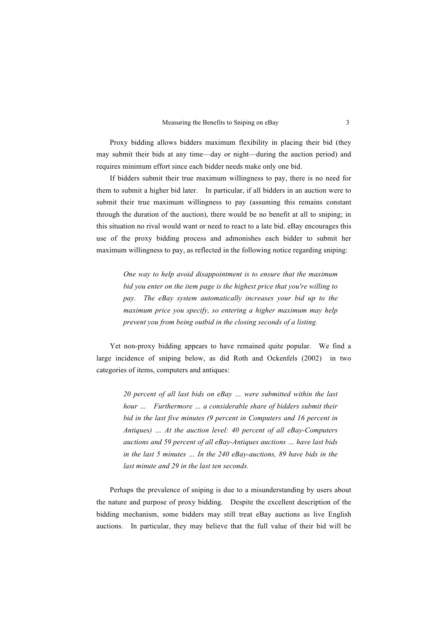Proxy bidding allows bidders maximum flexibility in placing their bid (they may submit their bids at any time—day or night—during the auction period) and requires minimum effort since each bidder needs make only one bid.

If bidders submit their true maximum willingness to pay, there is no need for them to submit a higher bid later. In particular, if all bidders in an auction were to submit their true maximum willingness to pay (assuming this remains constant through the duration of the auction), there would be no benefit at all to sniping; in this situation no rival would want or need to react to a late bid. eBay encourages this use of the proxy bidding process and admonishes each bidder to submit her maximum willingness to pay, as reflected in the following notice regarding sniping:

> *One way to help avoid disappointment is to ensure that the maximum bid you enter on the item page is the highest price that you're willing to pay. The eBay system automatically increases your bid up to the maximum price you specify, so entering a higher maximum may help prevent you from being outbid in the closing seconds of a listing.*

Yet non-proxy bidding appears to have remained quite popular. We find a large incidence of sniping below, as did Roth and Ockenfels (2002) in two categories of items, computers and antiques:

> *20 percent of all last bids on eBay … were submitted within the last hour … Furthermore … a considerable share of bidders submit their bid in the last five minutes (9 percent in Computers and 16 percent in Antiques) … At the auction level: 40 percent of all eBay-Computers auctions and 59 percent of all eBay-Antiques auctions … have last bids in the last 5 minutes … In the 240 eBay-auctions, 89 have bids in the last minute and 29 in the last ten seconds.*

Perhaps the prevalence of sniping is due to a misunderstanding by users about the nature and purpose of proxy bidding. Despite the excellent description of the bidding mechanism, some bidders may still treat eBay auctions as live English auctions. In particular, they may believe that the full value of their bid will be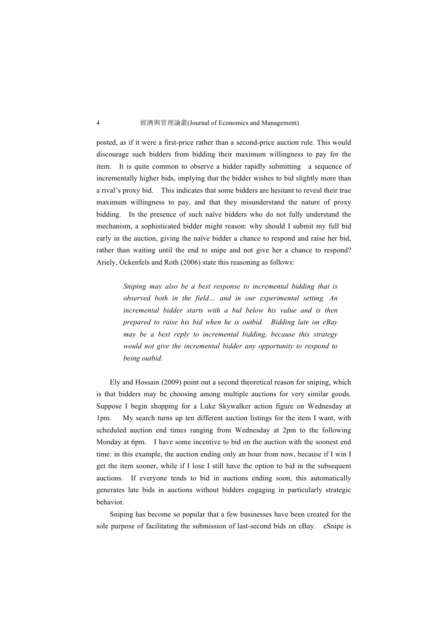posted, as if it were a first-price rather than a second-price auction rule. This would discourage such bidders from bidding their maximum willingness to pay for the item. It is quite common to observe a bidder rapidly submitting a sequence of incrementally higher bids, implying that the bidder wishes to bid slightly more than a rival's proxy bid. This indicates that some bidders are hesitant to reveal their true maximum willingness to pay, and that they misunderstand the nature of proxy bidding. In the presence of such naïve bidders who do not fully understand the mechanism, a sophisticated bidder might reason: why should I submit my full bid early in the auction, giving the naïve bidder a chance to respond and raise her bid, rather than waiting until the end to snipe and not give her a chance to respond? Ariely, Ockenfels and Roth (2006) state this reasoning as follows:

> *Sniping may also be a best response to incremental bidding that is observed both in the field… and in our experimental setting. An incremental bidder starts with a bid below his value and is then prepared to raise his bid when he is outbid. Bidding late on eBay may be a best reply to incremental bidding, because this strategy would not give the incremental bidder any opportunity to respond to being outbid.*

Ely and Hossain (2009) point out a second theoretical reason for sniping, which is that bidders may be choosing among multiple auctions for very similar goods. Suppose I begin shopping for a Luke Skywalker action figure on Wednesday at 1pm. My search turns up ten different auction listings for the item I want, with scheduled auction end times ranging from Wednesday at 2pm to the following Monday at 6pm. I have some incentive to bid on the auction with the soonest end time: in this example, the auction ending only an hour from now, because if I win I get the item sooner, while if I lose I still have the option to bid in the subsequent auctions. If everyone tends to bid in auctions ending soon, this automatically generates late bids in auctions without bidders engaging in particularly strategic behavior.

Sniping has become so popular that a few businesses have been created for the sole purpose of facilitating the submission of last-second bids on eBay. eSnipe is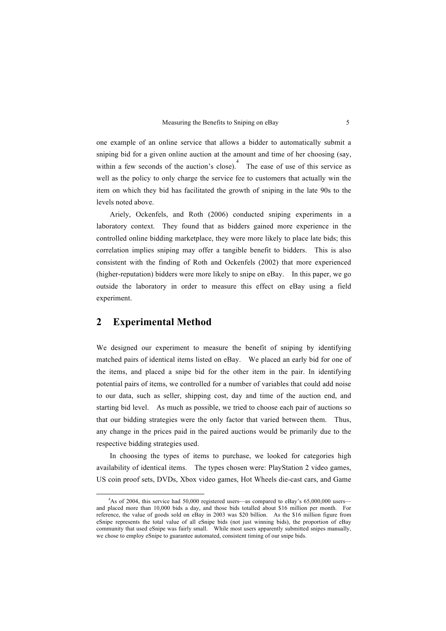one example of an online service that allows a bidder to automatically submit a sniping bid for a given online auction at the amount and time of her choosing (say, within a few seconds of the auction's close).<sup>4</sup> The ease of use of this service as well as the policy to only charge the service fee to customers that actually win the item on which they bid has facilitated the growth of sniping in the late 90s to the levels noted above.

Ariely, Ockenfels, and Roth (2006) conducted sniping experiments in a laboratory context. They found that as bidders gained more experience in the controlled online bidding marketplace, they were more likely to place late bids; this correlation implies sniping may offer a tangible benefit to bidders. This is also consistent with the finding of Roth and Ockenfels (2002) that more experienced (higher-reputation) bidders were more likely to snipe on eBay. In this paper, we go outside the laboratory in order to measure this effect on eBay using a field experiment.

## **2 Experimental Method**

We designed our experiment to measure the benefit of sniping by identifying matched pairs of identical items listed on eBay. We placed an early bid for one of the items, and placed a snipe bid for the other item in the pair. In identifying potential pairs of items, we controlled for a number of variables that could add noise to our data, such as seller, shipping cost, day and time of the auction end, and starting bid level. As much as possible, we tried to choose each pair of auctions so that our bidding strategies were the only factor that varied between them. Thus, any change in the prices paid in the paired auctions would be primarily due to the respective bidding strategies used.

In choosing the types of items to purchase, we looked for categories high availability of identical items. The types chosen were: PlayStation 2 video games, US coin proof sets, DVDs, Xbox video games, Hot Wheels die-cast cars, and Game

 $\overline{4}$ <sup>4</sup>As of 2004, this service had 50,000 registered users—as compared to eBay's 65,000,000 users and placed more than 10,000 bids a day, and those bids totalled about \$16 million per month. For reference, the value of goods sold on eBay in 2003 was \$20 billion. As the \$16 million figure from eSnipe represents the total value of all eSnipe bids (not just winning bids), the proportion of eBay community that used eSnipe was fairly small. While most users apparently submitted snipes manually, we chose to employ eSnipe to guarantee automated, consistent timing of our snipe bids.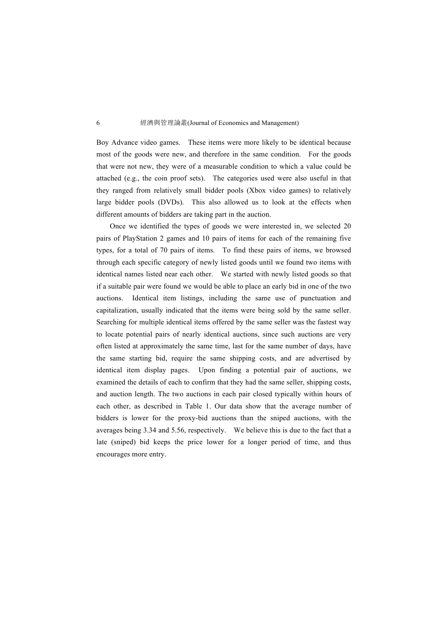Boy Advance video games. These items were more likely to be identical because most of the goods were new, and therefore in the same condition. For the goods that were not new, they were of a measurable condition to which a value could be attached (e.g., the coin proof sets). The categories used were also useful in that they ranged from relatively small bidder pools (Xbox video games) to relatively large bidder pools (DVDs). This also allowed us to look at the effects when different amounts of bidders are taking part in the auction.

Once we identified the types of goods we were interested in, we selected 20 pairs of PlayStation 2 games and 10 pairs of items for each of the remaining five types, for a total of 70 pairs of items. To find these pairs of items, we browsed through each specific category of newly listed goods until we found two items with identical names listed near each other. We started with newly listed goods so that if a suitable pair were found we would be able to place an early bid in one of the two auctions. Identical item listings, including the same use of punctuation and capitalization, usually indicated that the items were being sold by the same seller. Searching for multiple identical items offered by the same seller was the fastest way to locate potential pairs of nearly identical auctions, since such auctions are very often listed at approximately the same time, last for the same number of days, have the same starting bid, require the same shipping costs, and are advertised by identical item display pages. Upon finding a potential pair of auctions, we examined the details of each to confirm that they had the same seller, shipping costs, and auction length. The two auctions in each pair closed typically within hours of each other, as described in Table 1. Our data show that the average number of bidders is lower for the proxy-bid auctions than the sniped auctions, with the averages being 3.34 and 5.56, respectively. We believe this is due to the fact that a late (sniped) bid keeps the price lower for a longer period of time, and thus encourages more entry.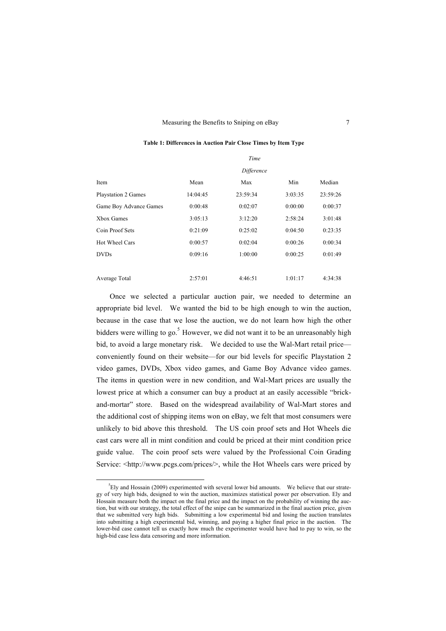## **Table 1: Differences in Auction Pair Close Times by Item Type**

|                        | Time     |          |         |          |
|------------------------|----------|----------|---------|----------|
|                        |          |          |         |          |
| Item                   | Mean     | Max      | Min     | Median   |
| Playstation 2 Games    | 14:04:45 | 23:59:34 | 3:03:35 | 23:59:26 |
| Game Boy Advance Games | 0:00:48  | 0:02:07  | 0:00:00 | 0:00:37  |
| Xbox Games             | 3:05:13  | 3:12:20  | 2:58:24 | 3:01:48  |
| Coin Proof Sets        | 0:21:09  | 0:25:02  | 0:04:50 | 0:23:35  |
| Hot Wheel Cars         | 0:00:57  | 0:02:04  | 0:00:26 | 0:00:34  |
| <b>DVDs</b>            | 0:09:16  | 1:00:00  | 0:00:25 | 0:01:49  |
|                        |          |          |         |          |
| Average Total          | 2:57:01  | 4:46:51  | 1:01:17 | 4:34:38  |

Once we selected a particular auction pair, we needed to determine an appropriate bid level. We wanted the bid to be high enough to win the auction, because in the case that we lose the auction, we do not learn how high the other bidders were willing to go.<sup>5</sup> However, we did not want it to be an unreasonably high bid, to avoid a large monetary risk. We decided to use the Wal-Mart retail price conveniently found on their website—for our bid levels for specific Playstation 2 video games, DVDs, Xbox video games, and Game Boy Advance video games. The items in question were in new condition, and Wal-Mart prices are usually the lowest price at which a consumer can buy a product at an easily accessible "brickand-mortar" store. Based on the widespread availability of Wal-Mart stores and the additional cost of shipping items won on eBay, we felt that most consumers were unlikely to bid above this threshold. The US coin proof sets and Hot Wheels die cast cars were all in mint condition and could be priced at their mint condition price guide value. The coin proof sets were valued by the Professional Coin Grading Service: <http://www.pcgs.com/prices/>, while the Hot Wheels cars were priced by

 $\frac{1}{5}$  ${}^{5}$ Ely and Hossain (2009) experimented with several lower bid amounts. We believe that our strategy of very high bids, designed to win the auction, maximizes statistical power per observation. Ely and Hossain measure both the impact on the final price and the impact on the probability of winning the auction, but with our strategy, the total effect of the snipe can be summarized in the final auction price, given that we submitted very high bids. Submitting a low experimental bid and losing the auction translates into submitting a high experimental bid, winning, and paying a higher final price in the auction. The lower-bid case cannot tell us exactly how much the experimenter would have had to pay to win, so the high-bid case less data censoring and more information.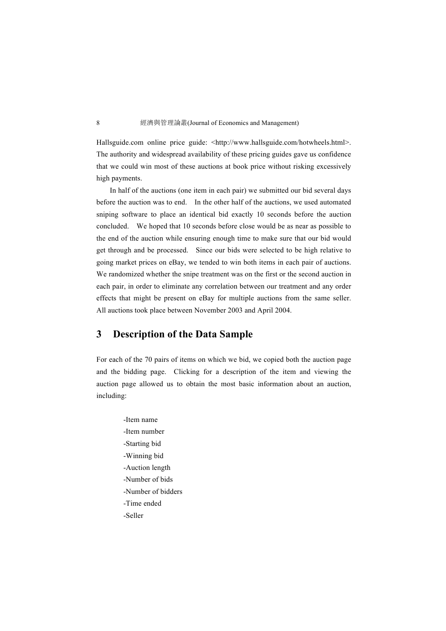Hallsguide.com online price guide: <http://www.hallsguide.com/hotwheels.html>. The authority and widespread availability of these pricing guides gave us confidence that we could win most of these auctions at book price without risking excessively high payments.

In half of the auctions (one item in each pair) we submitted our bid several days before the auction was to end. In the other half of the auctions, we used automated sniping software to place an identical bid exactly 10 seconds before the auction concluded. We hoped that 10 seconds before close would be as near as possible to the end of the auction while ensuring enough time to make sure that our bid would get through and be processed. Since our bids were selected to be high relative to going market prices on eBay, we tended to win both items in each pair of auctions. We randomized whether the snipe treatment was on the first or the second auction in each pair, in order to eliminate any correlation between our treatment and any order effects that might be present on eBay for multiple auctions from the same seller. All auctions took place between November 2003 and April 2004.

## **3 Description of the Data Sample**

For each of the 70 pairs of items on which we bid, we copied both the auction page and the bidding page. Clicking for a description of the item and viewing the auction page allowed us to obtain the most basic information about an auction, including:

-Item name -Item number -Starting bid -Winning bid -Auction length -Number of bids -Number of bidders -Time ended -Seller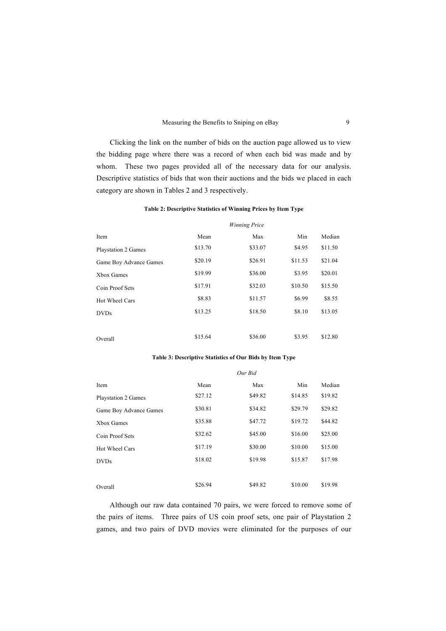Clicking the link on the number of bids on the auction page allowed us to view the bidding page where there was a record of when each bid was made and by whom. These two pages provided all of the necessary data for our analysis. Descriptive statistics of bids that won their auctions and the bids we placed in each category are shown in Tables 2 and 3 respectively.

## **Table 2: Descriptive Statistics of Winning Prices by Item Type**

| Item                   | Mean    | Max     | Min     | Median  |
|------------------------|---------|---------|---------|---------|
| Playstation 2 Games    | \$13.70 | \$33.07 | \$4.95  | \$11.50 |
| Game Boy Advance Games | \$20.19 | \$26.91 | \$11.53 | \$21.04 |
| Xbox Games             | \$19.99 | \$36.00 | \$3.95  | \$20.01 |
| Coin Proof Sets        | \$17.91 | \$32.03 | \$10.50 | \$15.50 |
| Hot Wheel Cars         | \$8.83  | \$11.57 | \$6.99  | \$8.55  |
| <b>DVDs</b>            | \$13.25 | \$18.50 | \$8.10  | \$13.05 |
|                        |         |         |         |         |
| Overall                | \$15.64 | \$36.00 | \$3.95  | \$12.80 |

#### **Table 3: Descriptive Statistics of Our Bids by Item Type**

| Item                       | Mean    | Max     | Min     | Median  |
|----------------------------|---------|---------|---------|---------|
| <b>Playstation 2 Games</b> | \$27.12 | \$49.82 | \$14.85 | \$19.82 |
| Game Boy Advance Games     | \$30.81 | \$34.82 | \$29.79 | \$29.82 |
| Xbox Games                 | \$35.88 | \$47.72 | \$19.72 | \$44.82 |
| Coin Proof Sets            | \$32.62 | \$45.00 | \$16.00 | \$25.00 |
| Hot Wheel Cars             | \$17.19 | \$30.00 | \$10.00 | \$15.00 |
| <b>DVDs</b>                | \$18.02 | \$19.98 | \$15.87 | \$17.98 |
|                            |         |         |         |         |
| Overall                    | \$26.94 | \$49.82 | \$10.00 | \$19.98 |

Although our raw data contained 70 pairs, we were forced to remove some of the pairs of items. Three pairs of US coin proof sets, one pair of Playstation 2 games, and two pairs of DVD movies were eliminated for the purposes of our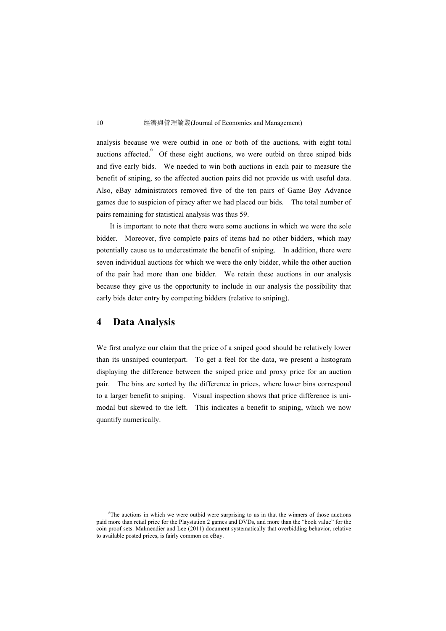analysis because we were outbid in one or both of the auctions, with eight total auctions affected.  $\overline{6}$  Of these eight auctions, we were outbid on three sniped bids and five early bids. We needed to win both auctions in each pair to measure the benefit of sniping, so the affected auction pairs did not provide us with useful data. Also, eBay administrators removed five of the ten pairs of Game Boy Advance games due to suspicion of piracy after we had placed our bids. The total number of pairs remaining for statistical analysis was thus 59.

It is important to note that there were some auctions in which we were the sole bidder. Moreover, five complete pairs of items had no other bidders, which may potentially cause us to underestimate the benefit of sniping. In addition, there were seven individual auctions for which we were the only bidder, while the other auction of the pair had more than one bidder. We retain these auctions in our analysis because they give us the opportunity to include in our analysis the possibility that early bids deter entry by competing bidders (relative to sniping).

## **4 Data Analysis**

We first analyze our claim that the price of a sniped good should be relatively lower than its unsniped counterpart. To get a feel for the data, we present a histogram displaying the difference between the sniped price and proxy price for an auction pair. The bins are sorted by the difference in prices, where lower bins correspond to a larger benefit to sniping. Visual inspection shows that price difference is unimodal but skewed to the left. This indicates a benefit to sniping, which we now quantify numerically.

 $\overline{6}$ <sup>6</sup>The auctions in which we were outbid were surprising to us in that the winners of those auctions paid more than retail price for the Playstation 2 games and DVDs, and more than the "book value" for the coin proof sets. Malmendier and Lee (2011) document systematically that overbidding behavior, relative to available posted prices, is fairly common on eBay.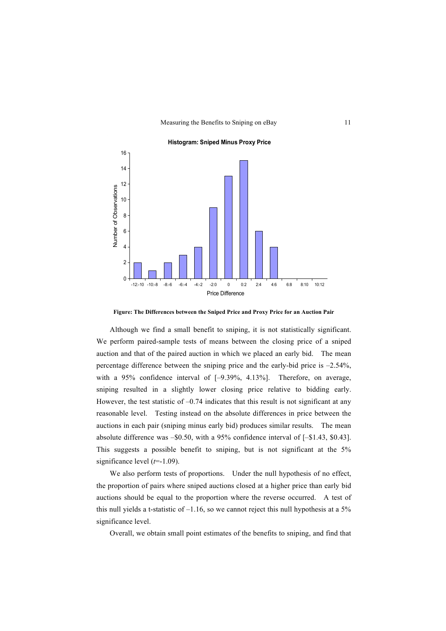

**Figure: The Differences between the Sniped Price and Proxy Price for an Auction Pair**

Although we find a small benefit to sniping, it is not statistically significant. We perform paired-sample tests of means between the closing price of a sniped auction and that of the paired auction in which we placed an early bid. The mean percentage difference between the sniping price and the early-bid price is –2.54%, with a 95% confidence interval of  $[-9.39\%, 4.13\%]$ . Therefore, on average, sniping resulted in a slightly lower closing price relative to bidding early. However, the test statistic of  $-0.74$  indicates that this result is not significant at any reasonable level. Testing instead on the absolute differences in price between the auctions in each pair (sniping minus early bid) produces similar results. The mean absolute difference was –\$0.50, with a 95% confidence interval of [–\$1.43, \$0.43]. This suggests a possible benefit to sniping, but is not significant at the 5% significance level (*t*=-1.09).

We also perform tests of proportions. Under the null hypothesis of no effect, the proportion of pairs where sniped auctions closed at a higher price than early bid auctions should be equal to the proportion where the reverse occurred. A test of this null yields a t-statistic of  $-1.16$ , so we cannot reject this null hypothesis at a 5% significance level.

Overall, we obtain small point estimates of the benefits to sniping, and find that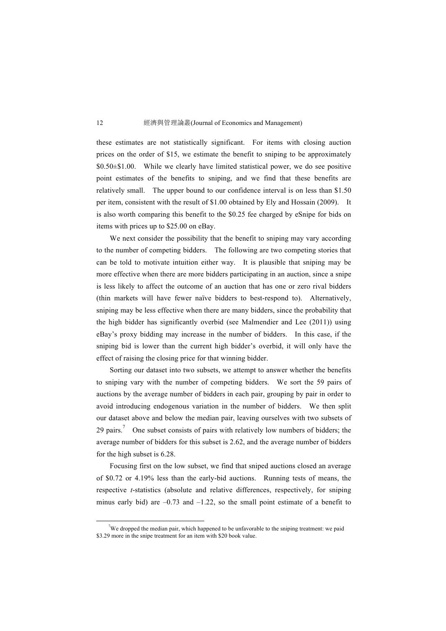these estimates are not statistically significant. For items with closing auction prices on the order of \$15, we estimate the benefit to sniping to be approximately \$0.50±\$1.00. While we clearly have limited statistical power, we do see positive point estimates of the benefits to sniping, and we find that these benefits are relatively small. The upper bound to our confidence interval is on less than \$1.50 per item, consistent with the result of \$1.00 obtained by Ely and Hossain (2009). It is also worth comparing this benefit to the \$0.25 fee charged by eSnipe for bids on items with prices up to \$25.00 on eBay.

We next consider the possibility that the benefit to sniping may vary according to the number of competing bidders. The following are two competing stories that can be told to motivate intuition either way. It is plausible that sniping may be more effective when there are more bidders participating in an auction, since a snipe is less likely to affect the outcome of an auction that has one or zero rival bidders (thin markets will have fewer naïve bidders to best-respond to). Alternatively, sniping may be less effective when there are many bidders, since the probability that the high bidder has significantly overbid (see Malmendier and Lee (2011)) using eBay's proxy bidding may increase in the number of bidders. In this case, if the sniping bid is lower than the current high bidder's overbid, it will only have the effect of raising the closing price for that winning bidder.

Sorting our dataset into two subsets, we attempt to answer whether the benefits to sniping vary with the number of competing bidders. We sort the 59 pairs of auctions by the average number of bidders in each pair, grouping by pair in order to avoid introducing endogenous variation in the number of bidders. We then split our dataset above and below the median pair, leaving ourselves with two subsets of 29 pairs.<sup>7</sup> One subset consists of pairs with relatively low numbers of bidders; the average number of bidders for this subset is 2.62, and the average number of bidders for the high subset is 6.28.

Focusing first on the low subset, we find that sniped auctions closed an average of \$0.72 or 4.19% less than the early-bid auctions. Running tests of means, the respective *t*-statistics (absolute and relative differences, respectively, for sniping minus early bid) are  $-0.73$  and  $-1.22$ , so the small point estimate of a benefit to

 <sup>7</sup> We dropped the median pair, which happened to be unfavorable to the sniping treatment: we paid \$3.29 more in the snipe treatment for an item with \$20 book value.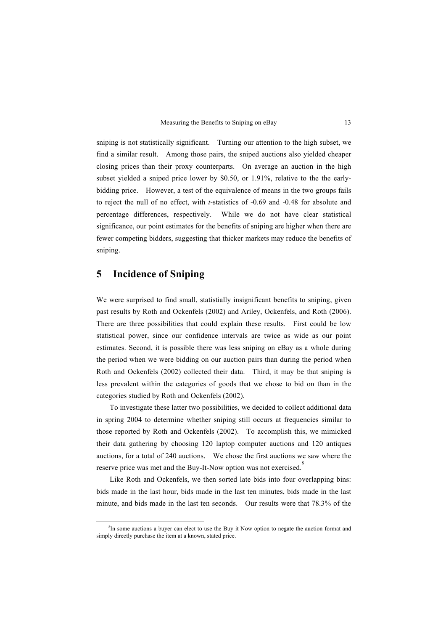sniping is not statistically significant. Turning our attention to the high subset, we find a similar result. Among those pairs, the sniped auctions also yielded cheaper closing prices than their proxy counterparts. On average an auction in the high subset yielded a sniped price lower by \$0.50, or 1.91%, relative to the the earlybidding price. However, a test of the equivalence of means in the two groups fails to reject the null of no effect, with *t*-statistics of -0.69 and -0.48 for absolute and percentage differences, respectively. While we do not have clear statistical significance, our point estimates for the benefits of sniping are higher when there are fewer competing bidders, suggesting that thicker markets may reduce the benefits of sniping.

## **5 Incidence of Sniping**

We were surprised to find small, statistially insignificant benefits to sniping, given past results by Roth and Ockenfels (2002) and Ariley, Ockenfels, and Roth (2006). There are three possibilities that could explain these results. First could be low statistical power, since our confidence intervals are twice as wide as our point estimates. Second, it is possible there was less sniping on eBay as a whole during the period when we were bidding on our auction pairs than during the period when Roth and Ockenfels (2002) collected their data. Third, it may be that sniping is less prevalent within the categories of goods that we chose to bid on than in the categories studied by Roth and Ockenfels (2002).

To investigate these latter two possibilities, we decided to collect additional data in spring 2004 to determine whether sniping still occurs at frequencies similar to those reported by Roth and Ockenfels (2002). To accomplish this, we mimicked their data gathering by choosing 120 laptop computer auctions and 120 antiques auctions, for a total of 240 auctions. We chose the first auctions we saw where the reserve price was met and the Buy-It-Now option was not exercised.<sup>8</sup>

Like Roth and Ockenfels, we then sorted late bids into four overlapping bins: bids made in the last hour, bids made in the last ten minutes, bids made in the last minute, and bids made in the last ten seconds. Our results were that 78.3% of the

 <sup>8</sup> <sup>8</sup>In some auctions a buyer can elect to use the Buy it Now option to negate the auction format and simply directly purchase the item at a known, stated price.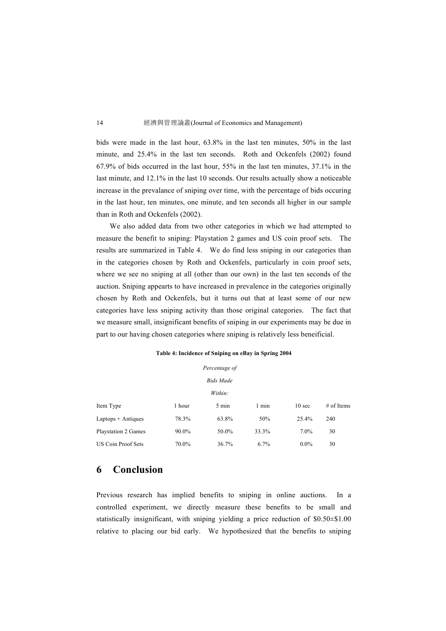bids were made in the last hour, 63.8% in the last ten minutes, 50% in the last minute, and 25.4% in the last ten seconds. Roth and Ockenfels (2002) found 67.9% of bids occurred in the last hour, 55% in the last ten minutes, 37.1% in the last minute, and 12.1% in the last 10 seconds. Our results actually show a noticeable increase in the prevalance of sniping over time, with the percentage of bids occuring in the last hour, ten minutes, one minute, and ten seconds all higher in our sample than in Roth and Ockenfels (2002).

We also added data from two other categories in which we had attempted to measure the benefit to sniping: Playstation 2 games and US coin proof sets. The results are summarized in Table 4. We do find less sniping in our categories than in the categories chosen by Roth and Ockenfels, particularly in coin proof sets, where we see no sniping at all (other than our own) in the last ten seconds of the auction. Sniping appearts to have increased in prevalence in the categories originally chosen by Roth and Ockenfels, but it turns out that at least some of our new categories have less sniping activity than those original categories. The fact that we measure small, insignificant benefits of sniping in our experiments may be due in part to our having chosen categories where sniping is relatively less beneificial.

| Percentage of              |          |       |       |                   |              |
|----------------------------|----------|-------|-------|-------------------|--------------|
| <b>Bids Made</b>           |          |       |       |                   |              |
| Within:                    |          |       |       |                   |              |
| Item Type                  | 1 hour   | 5 min | 1 min | 10 <sub>sec</sub> | $#$ of Items |
| $L$ aptops + Antiques      | 78.3%    | 63.8% | 50%   | 25.4%             | 240          |
| <b>Playstation 2 Games</b> | $90.0\%$ | 50.0% | 33.3% | $7.0\%$           | 30           |
| <b>US Coin Proof Sets</b>  | 70.0%    | 36.7% | 6.7%  | $0.0\%$           | 30           |

#### **Table 4: Incidence of Sniping on eBay in Spring 2004**

## **6 Conclusion**

Previous research has implied benefits to sniping in online auctions. In a controlled experiment, we directly measure these benefits to be small and statistically insignificant, with sniping yielding a price reduction of \$0.50±\$1.00 relative to placing our bid early. We hypothesized that the benefits to sniping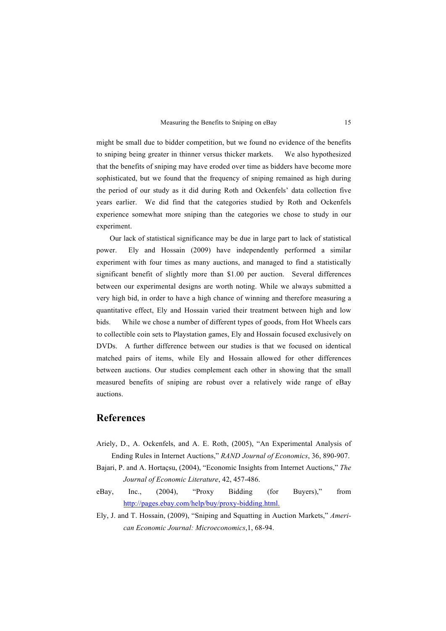might be small due to bidder competition, but we found no evidence of the benefits to sniping being greater in thinner versus thicker markets. We also hypothesized that the benefits of sniping may have eroded over time as bidders have become more sophisticated, but we found that the frequency of sniping remained as high during the period of our study as it did during Roth and Ockenfels' data collection five years earlier. We did find that the categories studied by Roth and Ockenfels experience somewhat more sniping than the categories we chose to study in our experiment.

Our lack of statistical significance may be due in large part to lack of statistical power. Ely and Hossain (2009) have independently performed a similar experiment with four times as many auctions, and managed to find a statistically significant benefit of slightly more than \$1.00 per auction. Several differences between our experimental designs are worth noting. While we always submitted a very high bid, in order to have a high chance of winning and therefore measuring a quantitative effect, Ely and Hossain varied their treatment between high and low bids. While we chose a number of different types of goods, from Hot Wheels cars to collectible coin sets to Playstation games, Ely and Hossain focused exclusively on DVDs. A further difference between our studies is that we focused on identical matched pairs of items, while Ely and Hossain allowed for other differences between auctions. Our studies complement each other in showing that the small measured benefits of sniping are robust over a relatively wide range of eBay auctions.

## **References**

- Ariely, D., A. Ockenfels, and A. E. Roth, (2005), "An Experimental Analysis of Ending Rules in Internet Auctions," *RAND Journal of Economics*, 36, 890-907.
- Bajari, P. and A. Hortaçsu, (2004), "Economic Insights from Internet Auctions," *The Journal of Economic Literature*, 42, 457-486.
- eBay, Inc., (2004), "Proxy Bidding (for Buyers)," from http://pages.ebay.com/help/buy/proxy-bidding.html.
- Ely, J. and T. Hossain, (2009), "Sniping and Squatting in Auction Markets," *American Economic Journal: Microeconomics*,1, 68-94.